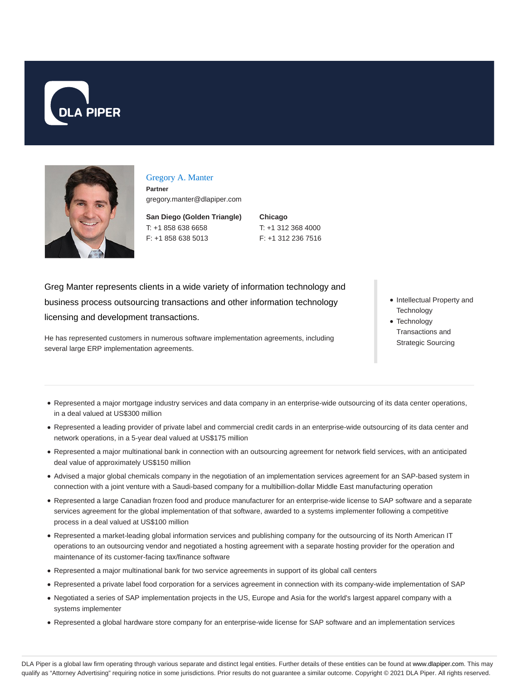



### Gregory A. Manter

**Partner** gregory.manter@dlapiper.com

**San Diego (Golden Triangle)** T: +1 858 638 6658 F: +1 858 638 5013

**Chicago** T: +1 312 368 4000 F: +1 312 236 7516

Greg Manter represents clients in a wide variety of information technology and business process outsourcing transactions and other information technology licensing and development transactions.

- Intellectual Property and **Technology**
- Technology Transactions and Strategic Sourcing

He has represented customers in numerous software implementation agreements, including several large ERP implementation agreements.

- Represented a major mortgage industry services and data company in an enterprise-wide outsourcing of its data center operations, in a deal valued at US\$300 million
- Represented a leading provider of private label and commercial credit cards in an enterprise-wide outsourcing of its data center and network operations, in a 5-year deal valued at US\$175 million
- Represented a major multinational bank in connection with an outsourcing agreement for network field services, with an anticipated deal value of approximately US\$150 million
- Advised a major global chemicals company in the negotiation of an implementation services agreement for an SAP-based system in connection with a joint venture with a Saudi-based company for a multibillion-dollar Middle East manufacturing operation
- Represented a large Canadian frozen food and produce manufacturer for an enterprise-wide license to SAP software and a separate services agreement for the global implementation of that software, awarded to a systems implementer following a competitive process in a deal valued at US\$100 million
- Represented a market-leading global information services and publishing company for the outsourcing of its North American IT operations to an outsourcing vendor and negotiated a hosting agreement with a separate hosting provider for the operation and maintenance of its customer-facing tax/finance software
- Represented a major multinational bank for two service agreements in support of its global call centers
- Represented a private label food corporation for a services agreement in connection with its company-wide implementation of SAP
- Negotiated a series of SAP implementation projects in the US, Europe and Asia for the world's largest apparel company with a systems implementer
- Represented a global hardware store company for an enterprise-wide license for SAP software and an implementation services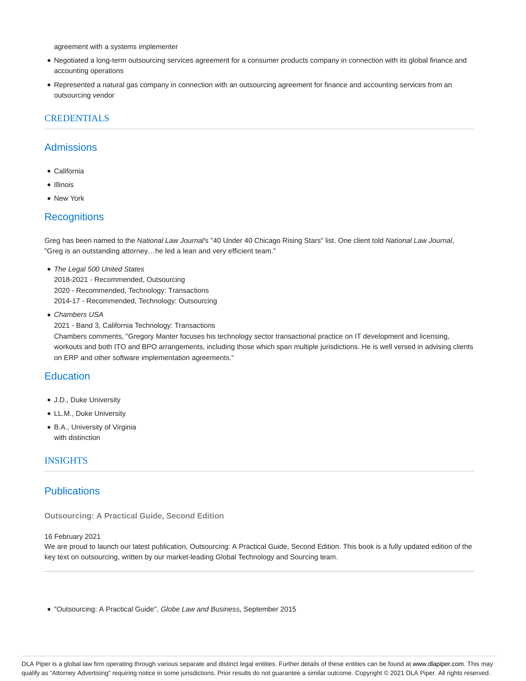agreement with a systems implementer

- Negotiated a long-term outsourcing services agreement for a consumer products company in connection with its global finance and accounting operations
- Represented a natural gas company in connection with an outsourcing agreement for finance and accounting services from an outsourcing vendor

## **CREDENTIALS**

## **Admissions**

- California
- Illinois
- New York

### **Recognitions**

Greg has been named to the National Law Journal's "40 Under 40 Chicago Rising Stars" list. One client told National Law Journal, "Greg is an outstanding attorney…he led a lean and very efficient team."

- The Legal 500 United States 2018-2021 - Recommended, Outsourcing 2020 - Recommended, Technology: Transactions 2014-17 - Recommended, Technology: Outsourcing
- Chambers USA
- 2021 Band 3, California Technology: Transactions

Chambers comments, "Gregory Manter focuses his technology sector transactional practice on IT development and licensing, workouts and both ITO and BPO arrangements, including those which span multiple jurisdictions. He is well versed in advising clients on ERP and other software implementation agreements."

## **Education**

- J.D., Duke University
- LL.M., Duke University
- B.A., University of Virginia with distinction

#### **INSIGHTS**

## **Publications**

**Outsourcing: A Practical Guide, Second Edition**

#### 16 February 2021

We are proud to launch our latest publication, Outsourcing: A Practical Guide, Second Edition. This book is a fully updated edition of the key text on outsourcing, written by our market-leading Global Technology and Sourcing team.

''Outsourcing: A Practical Guide'', Globe Law and Business, September 2015

DLA Piper is a global law firm operating through various separate and distinct legal entities. Further details of these entities can be found at www.dlapiper.com. This may qualify as "Attorney Advertising" requiring notice in some jurisdictions. Prior results do not guarantee a similar outcome. Copyright © 2021 DLA Piper. All rights reserved.